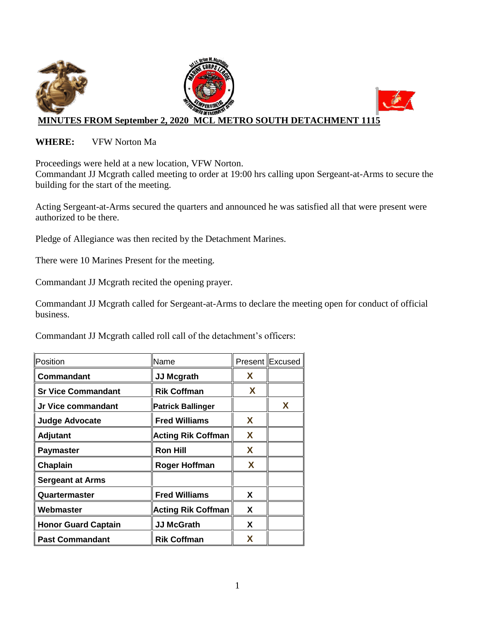

#### **WHERE:** VFW Norton Ma

Proceedings were held at a new location, VFW Norton.

Commandant JJ Mcgrath called meeting to order at 19:00 hrs calling upon Sergeant-at-Arms to secure the building for the start of the meeting.

Acting Sergeant-at-Arms secured the quarters and announced he was satisfied all that were present were authorized to be there.

Pledge of Allegiance was then recited by the Detachment Marines.

There were 10 Marines Present for the meeting.

Commandant JJ Mcgrath recited the opening prayer.

Commandant JJ Mcgrath called for Sergeant-at-Arms to declare the meeting open for conduct of official business.

Commandant JJ Mcgrath called roll call of the detachment's officers:

| Position                   | Name                      |   | Present Excused |
|----------------------------|---------------------------|---|-----------------|
| Commandant                 | <b>JJ Mcgrath</b>         | X |                 |
| <b>Sr Vice Commandant</b>  | <b>Rik Coffman</b>        | X |                 |
| Jr Vice commandant         | <b>Patrick Ballinger</b>  |   | X               |
| <b>Judge Advocate</b>      | <b>Fred Williams</b>      | X |                 |
| <b>Adjutant</b>            | <b>Acting Rik Coffman</b> | X |                 |
| <b>Paymaster</b>           | <b>Ron Hill</b>           | X |                 |
| Chaplain                   | <b>Roger Hoffman</b>      | X |                 |
| <b>Sergeant at Arms</b>    |                           |   |                 |
| Quartermaster              | <b>Fred Williams</b>      | X |                 |
| Webmaster                  | <b>Acting Rik Coffman</b> | X |                 |
| <b>Honor Guard Captain</b> | <b>JJ McGrath</b>         | X |                 |
| <b>Past Commandant</b>     | <b>Rik Coffman</b>        | x |                 |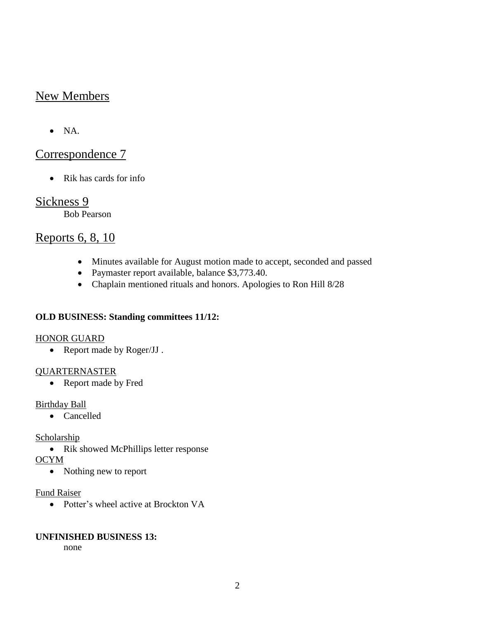## New Members

 $\bullet$  NA.

# Correspondence 7

• Rik has cards for info

## Sickness 9

Bob Pearson

# Reports 6, 8, 10

- Minutes available for August motion made to accept, seconded and passed
- Paymaster report available, balance \$3,773.40.
- Chaplain mentioned rituals and honors. Apologies to Ron Hill 8/28

## **OLD BUSINESS: Standing committees 11/12:**

## HONOR GUARD

• Report made by Roger/JJ.

## QUARTERNASTER

• Report made by Fred

## Birthday Ball

• Cancelled

## Scholarship

• Rik showed McPhillips letter response

**OCYM** 

• Nothing new to report

#### Fund Raiser

• Potter's wheel active at Brockton VA

## **UNFINISHED BUSINESS 13:**

none